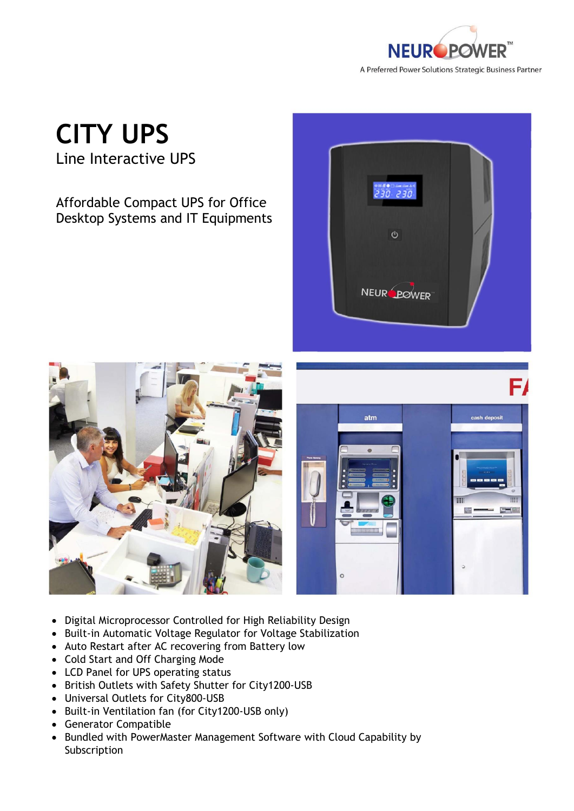

## **CITY UPS**

Line Interactive UPS

Affordable Compact UPS for Office Desktop Systems and IT Equipments







- Digital Microprocessor Controlled for High Reliability Design
- Built-in Automatic Voltage Regulator for Voltage Stabilization
- Auto Restart after AC recovering from Battery low
- Cold Start and Off Charging Mode
- LCD Panel for UPS operating status
- British Outlets with Safety Shutter for City1200-USB
- Universal Outlets for City800-USB
- Built-in Ventilation fan (for City1200-USB only)
- Generator Compatible
- Bundled with PowerMaster Management Software with Cloud Capability by Subscription